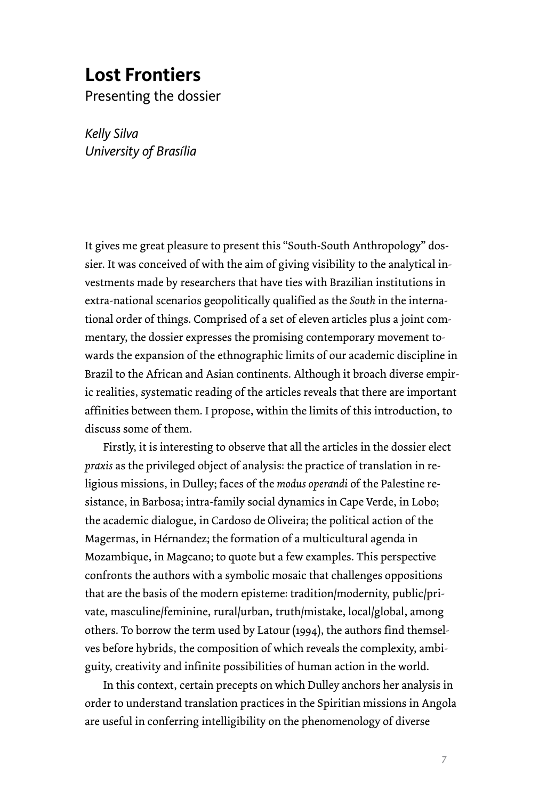## **Lost Frontiers**

Presenting the dossier

*Kelly Silva University of Brasília* 

It gives me great pleasure to present this "South-South Anthropology" dossier. It was conceived of with the aim of giving visibility to the analytical investments made by researchers that have ties with Brazilian institutions in extra-national scenarios geopolitically qualified as the *South* in the international order of things. Comprised of a set of eleven articles plus a joint commentary, the dossier expresses the promising contemporary movement towards the expansion of the ethnographic limits of our academic discipline in Brazil to the African and Asian continents. Although it broach diverse empiric realities, systematic reading of the articles reveals that there are important affinities between them. I propose, within the limits of this introduction, to discuss some of them.

Firstly, it is interesting to observe that all the articles in the dossier elect *praxis* as the privileged object of analysis: the practice of translation in religious missions, in Dulley; faces of the *modus operandi* of the Palestine resistance, in Barbosa; intra-family social dynamics in Cape Verde, in Lobo; the academic dialogue, in Cardoso de Oliveira; the political action of the Magermas, in Hérnandez; the formation of a multicultural agenda in Mozambique, in Magcano; to quote but a few examples. This perspective confronts the authors with a symbolic mosaic that challenges oppositions that are the basis of the modern episteme: tradition/modernity, public/private, masculine/feminine, rural/urban, truth/mistake, local/global, among others. To borrow the term used by Latour (1994), the authors find themselves before hybrids, the composition of which reveals the complexity, ambiguity, creativity and infinite possibilities of human action in the world.

In this context, certain precepts on which Dulley anchors her analysis in order to understand translation practices in the Spiritian missions in Angola are useful in conferring intelligibility on the phenomenology of diverse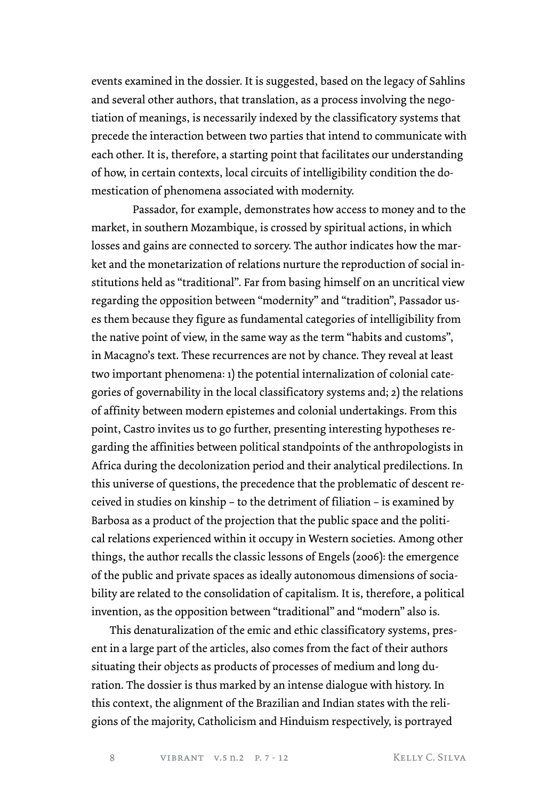events examined in the dossier. It is suggested, based on the legacy of Sahlins and several other authors, that translation, as a process involving the negotiation of meanings, is necessarily indexed by the classificatory systems that precede the interaction between two parties that intend to communicate with each other. It is, therefore, a starting point that facilitates our understanding of how, in certain contexts, local circuits of intelligibility condition the domestication of phenomena associated with modernity.

Passador, for example, demonstrates how access to money and to the market, in southern Mozambique, is crossed by spiritual actions, in which losses and gains are connected to sorcery. The author indicates how the market and the monetarization of relations nurture the reproduction of social institutions held as "traditional". Far from basing himself on an uncritical view regarding the opposition between "modernity" and "tradition", Passador uses them because they figure as fundamental categories of intelligibility from the native point of view, in the same way as the term "habits and customs", in Macagno's text. These recurrences are not by chance. They reveal at least two important phenomena: 1) the potential internalization of colonial categories of governability in the local classificatory systems and; 2) the relations of affinity between modern epistemes and colonial undertakings. From this point, Castro invites us to go further, presenting interesting hypotheses regarding the affinities between political standpoints of the anthropologists in Africa during the decolonization period and their analytical predilections. In this universe of questions, the precedence that the problematic of descent received in studies on kinship – to the detriment of filiation – is examined by Barbosa as a product of the projection that the public space and the political relations experienced within it occupy in Western societies. Among other things, the author recalls the classic lessons of Engels (2006): the emergence of the public and private spaces as ideally autonomous dimensions of sociability are related to the consolidation of capitalism. It is, therefore, a political invention, as the opposition between "traditional" and "modern" also is.

This denaturalization of the emic and ethic classificatory systems, present in a large part of the articles, also comes from the fact of their authors situating their objects as products of processes of medium and long duration. The dossier is thus marked by an intense dialogue with history. In this context, the alignment of the Brazilian and Indian states with the religions of the majority, Catholicism and Hinduism respectively, is portrayed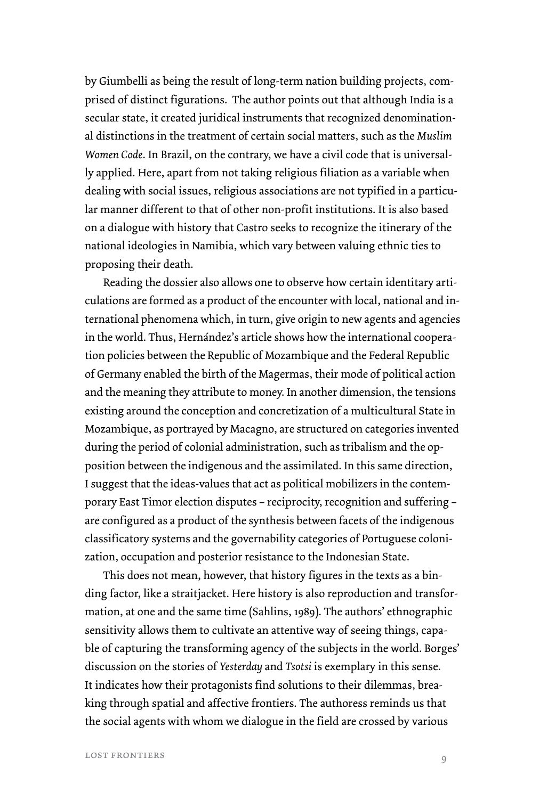by Giumbelli as being the result of long-term nation building projects, comprised of distinct figurations. The author points out that although India is a secular state, it created juridical instruments that recognized denominational distinctions in the treatment of certain social matters, such as the *Muslim Women Code*. In Brazil, on the contrary, we have a civil code that is universally applied. Here, apart from not taking religious filiation as a variable when dealing with social issues, religious associations are not typified in a particular manner different to that of other non-profit institutions. It is also based on a dialogue with history that Castro seeks to recognize the itinerary of the national ideologies in Namibia, which vary between valuing ethnic ties to proposing their death.

Reading the dossier also allows one to observe how certain identitary articulations are formed as a product of the encounter with local, national and international phenomena which, in turn, give origin to new agents and agencies in the world. Thus, Hernández's article shows how the international cooperation policies between the Republic of Mozambique and the Federal Republic of Germany enabled the birth of the Magermas, their mode of political action and the meaning they attribute to money. In another dimension, the tensions existing around the conception and concretization of a multicultural State in Mozambique, as portrayed by Macagno, are structured on categories invented during the period of colonial administration, such as tribalism and the opposition between the indigenous and the assimilated. In this same direction, I suggest that the ideas-values that act as political mobilizers in the contemporary East Timor election disputes – reciprocity, recognition and suffering – are configured as a product of the synthesis between facets of the indigenous classificatory systems and the governability categories of Portuguese colonization, occupation and posterior resistance to the Indonesian State.

This does not mean, however, that history figures in the texts as a binding factor, like a straitjacket. Here history is also reproduction and transformation, at one and the same time (Sahlins, 1989). The authors' ethnographic sensitivity allows them to cultivate an attentive way of seeing things, capable of capturing the transforming agency of the subjects in the world. Borges' discussion on the stories of *Yesterday* and *Tsotsi* is exemplary in this sense. It indicates how their protagonists find solutions to their dilemmas, breaking through spatial and affective frontiers. The authoress reminds us that the social agents with whom we dialogue in the field are crossed by various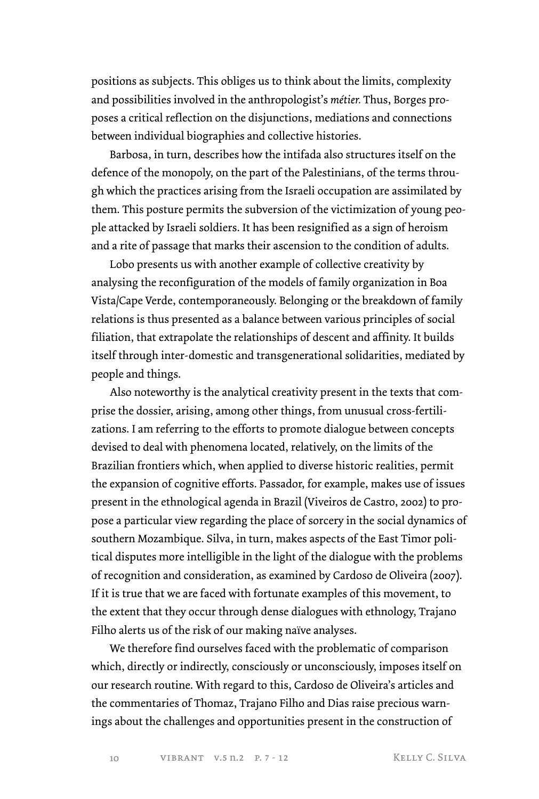positions as subjects. This obliges us to think about the limits, complexity and possibilities involved in the anthropologist's *métier.* Thus, Borges proposes a critical reflection on the disjunctions, mediations and connections between individual biographies and collective histories.

Barbosa, in turn, describes how the intifada also structures itself on the defence of the monopoly, on the part of the Palestinians, of the terms through which the practices arising from the Israeli occupation are assimilated by them. This posture permits the subversion of the victimization of young people attacked by Israeli soldiers. It has been resignified as a sign of heroism and a rite of passage that marks their ascension to the condition of adults.

Lobo presents us with another example of collective creativity by analysing the reconfiguration of the models of family organization in Boa Vista/Cape Verde, contemporaneously. Belonging or the breakdown of family relations is thus presented as a balance between various principles of social filiation, that extrapolate the relationships of descent and affinity. It builds itself through inter-domestic and transgenerational solidarities, mediated by people and things.

Also noteworthy is the analytical creativity present in the texts that comprise the dossier, arising, among other things, from unusual cross-fertilizations. I am referring to the efforts to promote dialogue between concepts devised to deal with phenomena located, relatively, on the limits of the Brazilian frontiers which, when applied to diverse historic realities, permit the expansion of cognitive efforts. Passador, for example, makes use of issues present in the ethnological agenda in Brazil (Viveiros de Castro, 2002) to propose a particular view regarding the place of sorcery in the social dynamics of southern Mozambique. Silva, in turn, makes aspects of the East Timor political disputes more intelligible in the light of the dialogue with the problems of recognition and consideration, as examined by Cardoso de Oliveira (2007). If it is true that we are faced with fortunate examples of this movement, to the extent that they occur through dense dialogues with ethnology, Trajano Filho alerts us of the risk of our making naïve analyses.

We therefore find ourselves faced with the problematic of comparison which, directly or indirectly, consciously or unconsciously, imposes itself on our research routine. With regard to this, Cardoso de Oliveira's articles and the commentaries of Thomaz, Trajano Filho and Dias raise precious warnings about the challenges and opportunities present in the construction of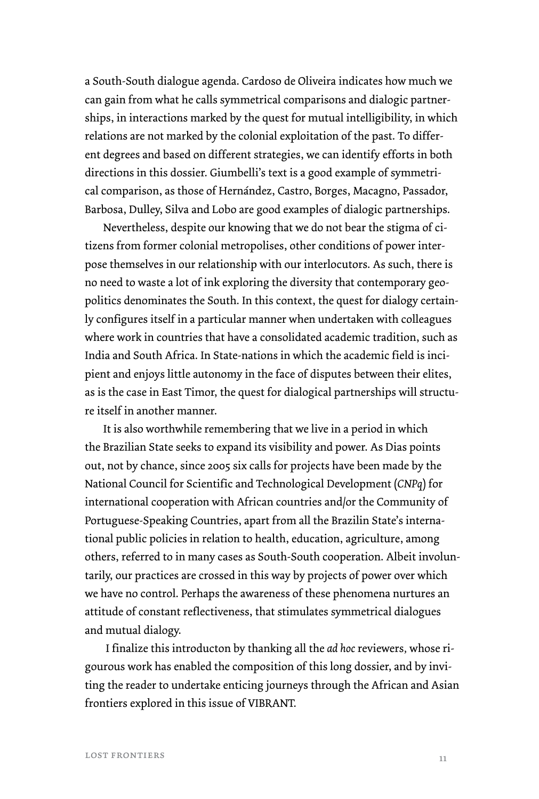a South-South dialogue agenda. Cardoso de Oliveira indicates how much we can gain from what he calls symmetrical comparisons and dialogic partnerships, in interactions marked by the quest for mutual intelligibility, in which relations are not marked by the colonial exploitation of the past. To different degrees and based on different strategies, we can identify efforts in both directions in this dossier. Giumbelli's text is a good example of symmetrical comparison, as those of Hernández, Castro, Borges, Macagno, Passador, Barbosa, Dulley, Silva and Lobo are good examples of dialogic partnerships.

Nevertheless, despite our knowing that we do not bear the stigma of citizens from former colonial metropolises, other conditions of power interpose themselves in our relationship with our interlocutors. As such, there is no need to waste a lot of ink exploring the diversity that contemporary geopolitics denominates the South. In this context, the quest for dialogy certainly configures itself in a particular manner when undertaken with colleagues where work in countries that have a consolidated academic tradition, such as India and South Africa. In State-nations in which the academic field is incipient and enjoys little autonomy in the face of disputes between their elites, as is the case in East Timor, the quest for dialogical partnerships will structure itself in another manner.

It is also worthwhile remembering that we live in a period in which the Brazilian State seeks to expand its visibility and power. As Dias points out, not by chance, since 2005 six calls for projects have been made by the National Council for Scientific and Technological Development (*CNPq*) for international cooperation with African countries and/or the Community of Portuguese-Speaking Countries, apart from all the Brazilin State's international public policies in relation to health, education, agriculture, among others, referred to in many cases as South-South cooperation. Albeit involuntarily, our practices are crossed in this way by projects of power over which we have no control. Perhaps the awareness of these phenomena nurtures an attitude of constant reflectiveness, that stimulates symmetrical dialogues and mutual dialogy.

 I finalize this introducton by thanking all the *ad hoc* reviewers*,* whose rigourous work has enabled the composition of this long dossier, and by inviting the reader to undertake enticing journeys through the African and Asian frontiers explored in this issue of VIBRANT.